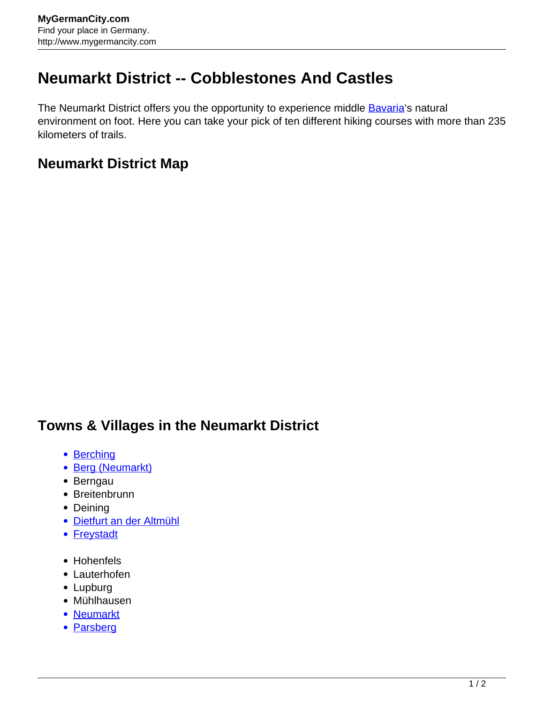## **Neumarkt District -- Cobblestones And Castles**

The Neumarkt District offers you the opportunity to experience middle **[Bavaria](http://www.mygermancity.com/bavaria)'s natural** environment on foot. Here you can take your pick of ten different hiking courses with more than 235 kilometers of trails.

## **Neumarkt District Map**

## **Towns & Villages in the Neumarkt District**

- [Berching](http://www.mygermancity.com/berching)
- [Berg \(Neumarkt\)](http://www.mygermancity.com/berg-neumarkt)
- Berngau
- Breitenbrunn
- Deining
- [Dietfurt an der Altmühl](http://www.mygermancity.com/dietfurt)
- [Freystadt](http://www.mygermancity.com/freystadt)
- Hohenfels
- Lauterhofen
- Lupburg
- Mühlhausen
- [Neumarkt](http://www.mygermancity.com/neumarkt)
- [Parsberg](http://www.mygermancity.com/parsberg)